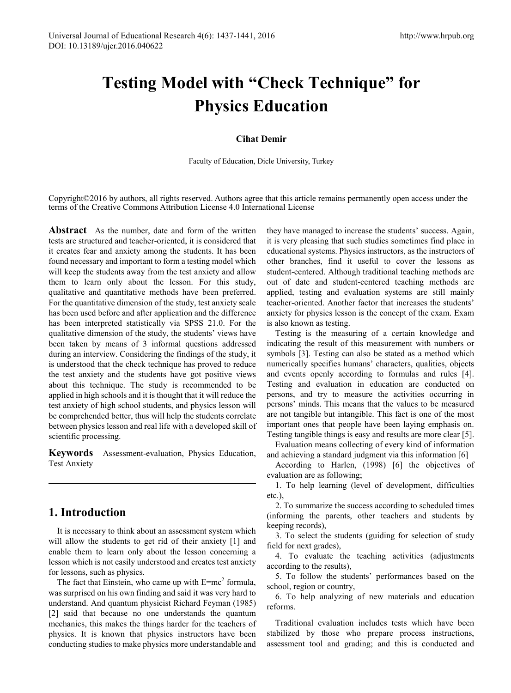# **Testing Model with "Check Technique" for Physics Education**

#### **Cihat Demir**

Faculty of Education, Dicle University, Turkey

Copyright©2016 by authors, all rights reserved. Authors agree that this article remains permanently open access under the terms of the Creative Commons Attribution License 4.0 International License

**Abstract** As the number, date and form of the written tests are structured and teacher-oriented, it is considered that it creates fear and anxiety among the students. It has been found necessary and important to form a testing model which will keep the students away from the test anxiety and allow them to learn only about the lesson. For this study, qualitative and quantitative methods have been preferred. For the quantitative dimension of the study, test anxiety scale has been used before and after application and the difference has been interpreted statistically via SPSS 21.0. For the qualitative dimension of the study, the students' views have been taken by means of 3 informal questions addressed during an interview. Considering the findings of the study, it is understood that the check technique has proved to reduce the test anxiety and the students have got positive views about this technique. The study is recommended to be applied in high schools and it is thought that it will reduce the test anxiety of high school students, and physics lesson will be comprehended better, thus will help the students correlate between physics lesson and real life with a developed skill of scientific processing.

**Keywords** Assessment-evaluation, Physics Education, Test Anxiety

## **1. Introduction**

It is necessary to think about an assessment system which will allow the students to get rid of their anxiety [1] and enable them to learn only about the lesson concerning a lesson which is not easily understood and creates test anxiety for lessons, such as physics.

The fact that Einstein, who came up with  $E=mc^2$  formula, was surprised on his own finding and said it was very hard to understand. And quantum physicist Richard Feyman (1985) [2] said that because no one understands the quantum mechanics, this makes the things harder for the teachers of physics. It is known that physics instructors have been conducting studies to make physics more understandable and

they have managed to increase the students' success. Again, it is very pleasing that such studies sometimes find place in educational systems. Physics instructors, as the instructors of other branches, find it useful to cover the lessons as student-centered. Although traditional teaching methods are out of date and student-centered teaching methods are applied, testing and evaluation systems are still mainly teacher-oriented. Another factor that increases the students' anxiety for physics lesson is the concept of the exam. Exam is also known as testing.

Testing is the measuring of a certain knowledge and indicating the result of this measurement with numbers or symbols [3]. Testing can also be stated as a method which numerically specifies humans' characters, qualities, objects and events openly according to formulas and rules [4]. Testing and evaluation in education are conducted on persons, and try to measure the activities occurring in persons' minds. This means that the values to be measured are not tangible but intangible. This fact is one of the most important ones that people have been laying emphasis on. Testing tangible things is easy and results are more clear [5].

Evaluation means collecting of every kind of information and achieving a standard judgment via this information [6]

According to Harlen, (1998) [6] the objectives of evaluation are as following;

1. To help learning (level of development, difficulties etc.),

2. To summarize the success according to scheduled times (informing the parents, other teachers and students by keeping records),

3. To select the students (guiding for selection of study field for next grades),

4. To evaluate the teaching activities (adjustments according to the results),

5. To follow the students' performances based on the school, region or country,

6. To help analyzing of new materials and education reforms.

Traditional evaluation includes tests which have been stabilized by those who prepare process instructions, assessment tool and grading; and this is conducted and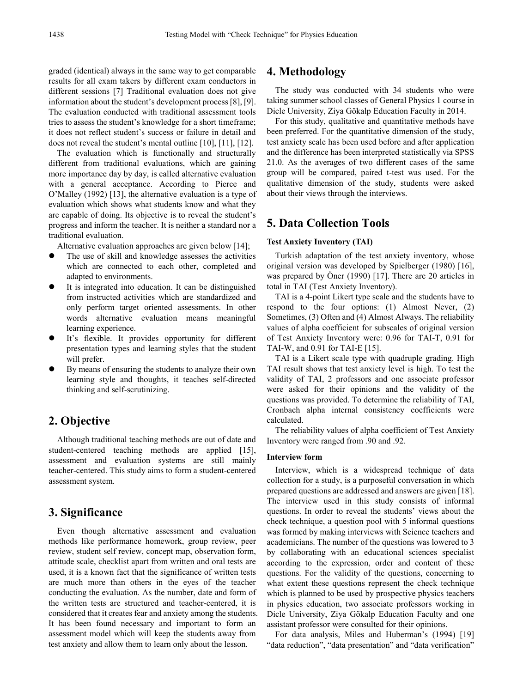graded (identical) always in the same way to get comparable results for all exam takers by different exam conductors in different sessions [7] Traditional evaluation does not give information about the student's development process [8], [9]. The evaluation conducted with traditional assessment tools tries to assess the student's knowledge for a short timeframe; it does not reflect student's success or failure in detail and does not reveal the student's mental outline [10], [11], [12].

The evaluation which is functionally and structurally different from traditional evaluations, which are gaining more importance day by day, is called alternative evaluation with a general acceptance. According to Pierce and O'Malley (1992) [13], the alternative evaluation is a type of evaluation which shows what students know and what they are capable of doing. Its objective is to reveal the student's progress and inform the teacher. It is neither a standard nor a traditional evaluation.

Alternative evaluation approaches are given below [14];

- The use of skill and knowledge assesses the activities which are connected to each other, completed and adapted to environments.
- It is integrated into education. It can be distinguished from instructed activities which are standardized and only perform target oriented assessments. In other words alternative evaluation means meaningful learning experience.
- It's flexible. It provides opportunity for different presentation types and learning styles that the student will prefer.
- By means of ensuring the students to analyze their own learning style and thoughts, it teaches self-directed thinking and self-scrutinizing.

# **2. Objective**

Although traditional teaching methods are out of date and student-centered teaching methods are applied [15], assessment and evaluation systems are still mainly teacher-centered. This study aims to form a student-centered assessment system.

#### **3. Significance**

Even though alternative assessment and evaluation methods like performance homework, group review, peer review, student self review, concept map, observation form, attitude scale, checklist apart from written and oral tests are used, it is a known fact that the significance of written tests are much more than others in the eyes of the teacher conducting the evaluation. As the number, date and form of the written tests are structured and teacher-centered, it is considered that it creates fear and anxiety among the students. It has been found necessary and important to form an assessment model which will keep the students away from test anxiety and allow them to learn only about the lesson.

#### **4. Methodology**

The study was conducted with 34 students who were taking summer school classes of General Physics 1 course in Dicle University, Ziya Gökalp Education Faculty in 2014.

For this study, qualitative and quantitative methods have been preferred. For the quantitative dimension of the study, test anxiety scale has been used before and after application and the difference has been interpreted statistically via SPSS 21.0. As the averages of two different cases of the same group will be compared, paired t-test was used. For the qualitative dimension of the study, students were asked about their views through the interviews.

## **5. Data Collection Tools**

#### **Test Anxiety Inventory (TAI)**

Turkish adaptation of the test anxiety inventory, whose original version was developed by Spielberger (1980) [16], was prepared by Öner (1990) [17]. There are 20 articles in total in TAI (Test Anxiety Inventory).

TAI is a 4-point Likert type scale and the students have to respond to the four options: (1) Almost Never, (2) Sometimes, (3) Often and (4) Almost Always. The reliability values of alpha coefficient for subscales of original version of Test Anxiety Inventory were: 0.96 for TAI-T, 0.91 for TAI-W, and 0.91 for TAI-E [15].

TAI is a Likert scale type with quadruple grading. High TAI result shows that test anxiety level is high. To test the validity of TAI, 2 professors and one associate professor were asked for their opinions and the validity of the questions was provided. To determine the reliability of TAI, Cronbach alpha internal consistency coefficients were calculated.

The reliability values of alpha coefficient of Test Anxiety Inventory were ranged from .90 and .92.

#### **Interview form**

Interview, which is a widespread technique of data collection for a study, is a purposeful conversation in which prepared questions are addressed and answers are given [18]. The interview used in this study consists of informal questions. In order to reveal the students' views about the check technique, a question pool with 5 informal questions was formed by making interviews with Science teachers and academicians. The number of the questions was lowered to 3 by collaborating with an educational sciences specialist according to the expression, order and content of these questions. For the validity of the questions, concerning to what extent these questions represent the check technique which is planned to be used by prospective physics teachers in physics education, two associate professors working in Dicle University, Ziya Gökalp Education Faculty and one assistant professor were consulted for their opinions.

For data analysis, Miles and Huberman's (1994) [19] "data reduction", "data presentation" and "data verification"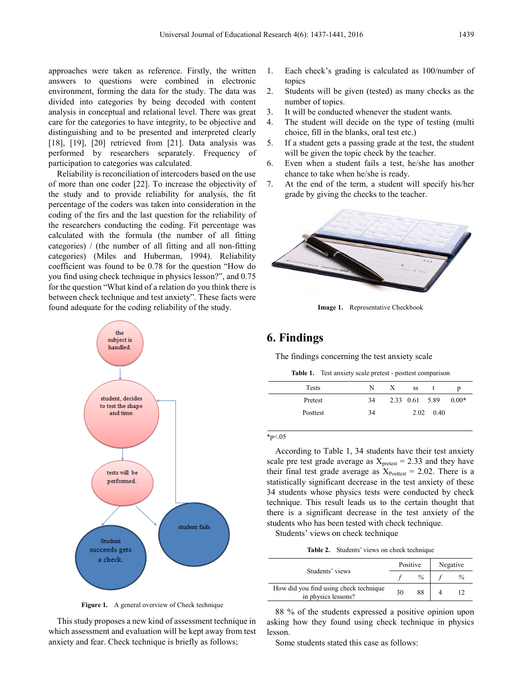approaches were taken as reference. Firstly, the written answers to questions were combined in electronic environment, forming the data for the study. The data was divided into categories by being decoded with content analysis in conceptual and relational level. There was great care for the categories to have integrity, to be objective and distinguishing and to be presented and interpreted clearly [18], [19], [20] retrieved from [21]. Data analysis was performed by researchers separately. Frequency of participation to categories was calculated.

Reliability is reconciliation of intercoders based on the use of more than one coder [22]. To increase the objectivity of the study and to provide reliability for analysis, the fit percentage of the coders was taken into consideration in the coding of the firs and the last question for the reliability of the researchers conducting the coding. Fit percentage was calculated with the formula (the number of all fitting categories) / (the number of all fitting and all non-fitting categories) (Miles and Huberman, 1994). Reliability coefficient was found to be 0.78 for the question "How do you find using check technique in physics lesson?", and 0.75 for the question "What kind of a relation do you think there is between check technique and test anxiety". These facts were found adequate for the coding reliability of the study.



**Figure 1.** A general overview of Check technique

This study proposes a new kind of assessment technique in which assessment and evaluation will be kept away from test anxiety and fear. Check technique is briefly as follows;

- 1. Each check's grading is calculated as 100/number of topics
- 2. Students will be given (tested) as many checks as the number of topics.
- 3. It will be conducted whenever the student wants.
- 4. The student will decide on the type of testing (multi choice, fill in the blanks, oral test etc.)
- 5. If a student gets a passing grade at the test, the student will be given the topic check by the teacher.
- 6. Even when a student fails a test, he/she has another chance to take when he/she is ready.
- 7. At the end of the term, a student will specify his/her grade by giving the checks to the teacher.



**Image 1.** Representative Checkbook

## **6. Findings**

The findings concerning the test anxiety scale

**Table 1.** Test anxiety scale pretest - posttest comparison

| Tests    | N  | X | SS             |                   |         |
|----------|----|---|----------------|-------------------|---------|
| Pretest  | 34 |   | 2.33 0.61 5.89 |                   | $0.00*$ |
| Posttest | 34 |   |                | $2.02 \quad 0.40$ |         |

 $*_{p<.05}$ 

According to Table 1, 34 students have their test anxiety scale pre test grade average as  $X<sub>pretest</sub> = 2.33$  and they have their final test grade average as  $X_{\text{Posttest}} = 2.02$ . There is a statistically significant decrease in the test anxiety of these 34 students whose physics tests were conducted by check technique. This result leads us to the certain thought that there is a significant decrease in the test anxiety of the students who has been tested with check technique.

Students' views on check technique

**Table 2.** Students' views on check technique

| Students' views                                               |    | Positive |  | Negative |  |
|---------------------------------------------------------------|----|----------|--|----------|--|
|                                                               |    | %        |  |          |  |
| How did you find using check technique<br>in physics lessons? | 30 | 88       |  |          |  |

88 % of the students expressed a positive opinion upon asking how they found using check technique in physics lesson.

Some students stated this case as follows: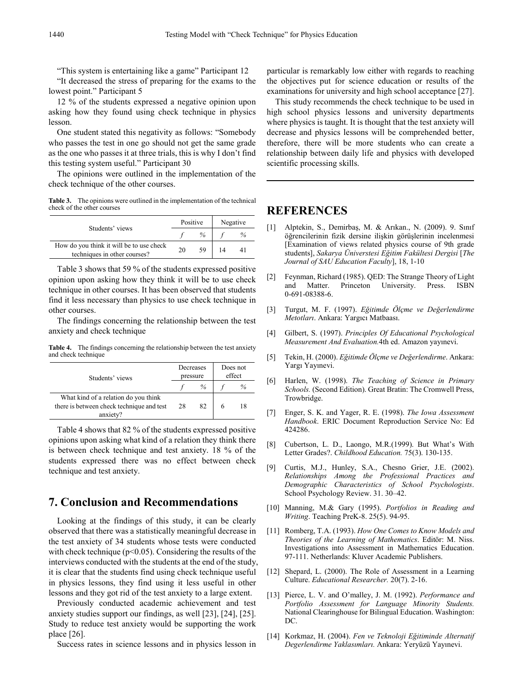"This system is entertaining like a game" Participant 12

"It decreased the stress of preparing for the exams to the lowest point." Participant 5

12 % of the students expressed a negative opinion upon asking how they found using check technique in physics lesson.

One student stated this negativity as follows: "Somebody who passes the test in one go should not get the same grade as the one who passes it at three trials, this is why I don't find this testing system useful." Participant 30

The opinions were outlined in the implementation of the check technique of the other courses.

**Table 3.** The opinions were outlined in the implementation of the technical check of the other courses

| Students' views                                                          |    | Positive |    | Negative |  |
|--------------------------------------------------------------------------|----|----------|----|----------|--|
|                                                                          |    | $\%$     |    | ℅        |  |
| How do you think it will be to use check<br>techniques in other courses? | 20 | 59       | 14 | 41       |  |

Table 3 shows that 59 % of the students expressed positive opinion upon asking how they think it will be to use check technique in other courses. It has been observed that students find it less necessary than physics to use check technique in other courses.

The findings concerning the relationship between the test anxiety and check technique

**Table 4.** The findings concerning the relationship between the test anxiety and check technique

|                                                                                   | Decreases<br>pressure |      | Does not |  |
|-----------------------------------------------------------------------------------|-----------------------|------|----------|--|
| Students' views                                                                   |                       |      | effect   |  |
|                                                                                   |                       | $\%$ |          |  |
| What kind of a relation do you think<br>there is between check technique and test | 28                    | 82   |          |  |
| anxiety?                                                                          |                       |      |          |  |

Table 4 shows that 82 % of the students expressed positive opinions upon asking what kind of a relation they think there is between check technique and test anxiety. 18 % of the students expressed there was no effect between check technique and test anxiety.

# **7. Conclusion and Recommendations**

Looking at the findings of this study, it can be clearly observed that there was a statistically meaningful decrease in the test anxiety of 34 students whose tests were conducted with check technique ( $p<0.05$ ). Considering the results of the interviews conducted with the students at the end of the study, it is clear that the students find using check technique useful in physics lessons, they find using it less useful in other lessons and they got rid of the test anxiety to a large extent.

Previously conducted academic achievement and test anxiety studies support our findings, as well [23], [24], [25]. Study to reduce test anxiety would be supporting the work place [26].

Success rates in science lessons and in physics lesson in

particular is remarkably low either with regards to reaching the objectives put for science education or results of the examinations for university and high school acceptance [27].

This study recommends the check technique to be used in high school physics lessons and university departments where physics is taught. It is thought that the test anxiety will decrease and physics lessons will be comprehended better, therefore, there will be more students who can create a relationship between daily life and physics with developed scientific processing skills.

## **REFERENCES**

- [1] Alptekin, S., Demirbaş, M. & Arıkan., N. (2009). 9. Sınıf öğrencilerinin fizik dersine ilişkin görüşlerinin incelenmesi [Examination of views related physics course of 9th grade students], *Sakarya Üniverstesi Eğitim Fakültesi Dergisi* [*The Journal of SAU Education Faculty*], 18, 1-10
- [2] Feynman, Richard (1985). QED: The Strange Theory of Light and Matter. Princeton University. Press. ISBN 0-691-08388-6.
- [3] Turgut, M. F. (1997). *Eğitimde Ölçme ve Değerlendirme Metotları*. Ankara: Yargıcı Matbaası.
- [4] Gilbert, S. (1997). *Principles Of Educational Psychological Measurement And Evaluation.*4th ed. Amazon yayınevi.
- [5] Tekin, H. (2000). *Eğitimde Ölçme ve Değerlendirme*. Ankara: Yargı Yayınevi.
- [6] Harlen, W. (1998). *The Teaching of Science in Primary Schools.* (Second Edition). Great Bratin: The Cromwell Press, Trowbridge.
- [7] Enger, S. K. and Yager, R. E. (1998). *The Iowa Assessment Handbook*. ERIC Document Reproduction Service No: Ed 424286.
- [8] Cubertson, L. D., Laongo, M.R.(1999). But What's With Letter Grades?. *Childhood Education.* 75(3). 130-135.
- [9] Curtis, M.J., Hunley, S.A., Chesno Grier, J.E. (2002). *Relationships Among the Professional Practices and Demographic Characteristics of School Psychologists*. School Psychology Review. 31. 30–42.
- [10] Manning, M.& Gary (1995). *Portfolios in Reading and Writing*. Teaching PreK-8. 25(5). 94-95.
- [11] Romberg, T.A. (1993). *How One Comes to Know Models and Theories of the Learning of Mathematics*. Editör: M. Niss. Investigations into Assessment in Mathematics Education. 97-111. Netherlands: Kluver Academic Publishers.
- [12] Shepard, L. (2000). The Role of Assessment in a Learning Culture. *Educational Researcher.* 20(7). 2-16.
- [13] Pierce, L. V. and O'malley, J. M. (1992). *Performance and Portfolio Assessment for Language Minority Students.* National Clearinghouse for Bilingual Education. Washington: DC.
- [14] Korkmaz, H. (2004). *Fen ve Teknoloji Eğitiminde Alternatif Degerlendirme Yaklasımları.* Ankara: Yeryüzü Yayınevi.